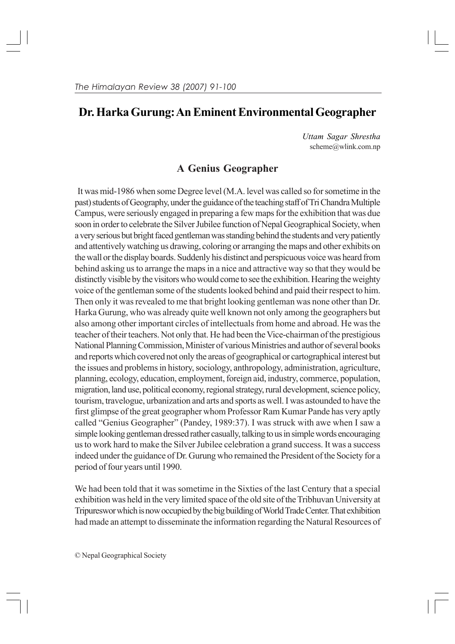# **Dr. Harka Gurung: An Eminent Environmental Geographer**

*Uttam Sagar Shrestha* scheme@wlink.com.np

## **A Genius Geographer**

It was mid-1986 when some Degree level (M.A. level was called so for sometime in the past) students of Geography, under the guidance of the teaching staff of Tri Chandra Multiple Campus, were seriously engaged in preparing a few maps for the exhibition that was due soon in order to celebrate the Silver Jubilee function of Nepal Geographical Society, when a very serious but bright faced gentleman was standing behind the students and very patiently and attentively watching us drawing, coloring or arranging the maps and other exhibits on the wall or the display boards. Suddenly his distinct and perspicuous voice was heard from behind asking us to arrange the maps in a nice and attractive way so that they would be distinctly visible by the visitors who would come to see the exhibition. Hearing the weighty voice of the gentleman some of the students looked behind and paid their respect to him. Then only it was revealed to me that bright looking gentleman was none other than Dr. Harka Gurung, who was already quite well known not only among the geographers but also among other important circles of intellectuals from home and abroad. He was the teacher of their teachers. Not only that. He had been the Vice-chairman of the prestigious National Planning Commission, Minister of various Ministries and author of several books and reports which covered not only the areas of geographical or cartographical interest but the issues and problems in history, sociology, anthropology, administration, agriculture, planning, ecology, education, employment, foreign aid, industry, commerce, population, migration, land use, political economy, regional strategy, rural development, science policy, tourism, travelogue, urbanization and arts and sports as well. I was astounded to have the first glimpse of the great geographer whom Professor Ram Kumar Pande has very aptly called "Genius Geographer" (Pandey, 1989:37). I was struck with awe when I saw a simple looking gentleman dressed rather casually, talking to us in simple words encouraging us to work hard to make the Silver Jubilee celebration a grand success. It was a success indeed under the guidance of Dr. Gurung who remained the President of the Society for a period of four years until 1990.

We had been told that it was sometime in the Sixties of the last Century that a special exhibition was held in the very limited space of the old site of the Tribhuvan University at Tripureswor which is now occupied by the big building of World Trade Center. That exhibition had made an attempt to disseminate the information regarding the Natural Resources of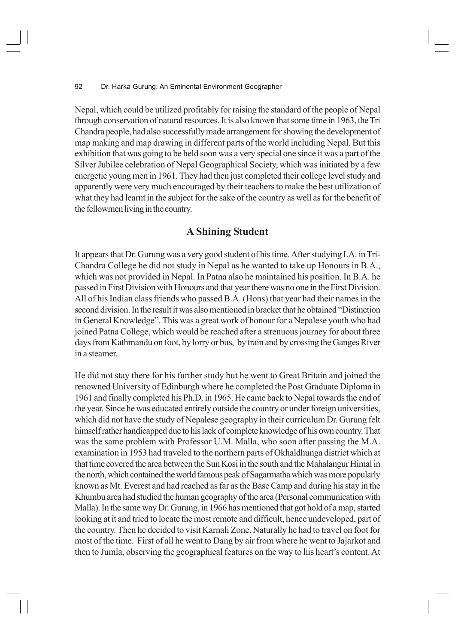Nepal, which could be utilized profitably for raising the standard of the people of Nepal through conservation of natural resources. It is also known that some time in 1963, the Tri Chandra people, had also successfully made arrangement for showing the development of map making and map drawing in different parts of the world including Nepal. But this exhibition that was going to be held soon was a very special one since it was a part of the Silver Jubilee celebration of Nepal Geographical Society, which was initiated by a few energetic young men in 1961. They had then just completed their college level study and apparently were very much encouraged by their teachers to make the best utilization of what they had learnt in the subject for the sake of the country as well as for the benefit of the fellowmen living in the country.

### **A Shining Student**

It appears that Dr. Gurung was a very good student of his time. After studying I.A. in Tri-Chandra College he did not study in Nepal as he wanted to take up Honours in B.A., which was not provided in Nepal. In Patna also he maintained his position. In B.A. he passed in First Division with Honours and that year there was no one in the First Division. All of his Indian class friends who passed B.A. (Hons) that year had their names in the second division. In the result it was also mentioned in bracket that he obtained "Distinction in General Knowledge". This was a great work of honour for a Nepalese youth who had joined Patna College, which would be reached after a strenuous journey for about three days from Kathmandu on foot, by lorry or bus, by train and by crossing the Ganges River in a steamer.

He did not stay there for his further study but he went to Great Britain and joined the renowned University of Edinburgh where he completed the Post Graduate Diploma in 1961 and finally completed his Ph.D. in 1965. He came back to Nepal towards the end of the year. Since he was educated entirely outside the country or under foreign universities, which did not have the study of Nepalese geography in their curriculum Dr. Gurung felt himself rather handicapped due to his lack of complete knowledge of his own country. That was the same problem with Professor U.M. Malla, who soon after passing the M.A. examination in 1953 had traveled to the northern parts of Okhaldhunga district which at that time covered the area between the Sun Kosi in the south and the Mahalangur Himal in the north, which contained the world famous peak of Sagarmatha which was more popularly known as Mt. Everest and had reached as far as the Base Camp and during his stay in the Khumbu area had studied the human geography of the area (Personal communication with Malla). In the same way Dr. Gurung, in 1966 has mentioned that got hold of a map, started looking at it and tried to locate the most remote and difficult, hence undeveloped, part of the country. Then he decided to visit Karnali Zone. Naturally he had to travel on foot for most of the time. First of all he went to Dang by air from where he went to Jajarkot and then to Jumla, observing the geographical features on the way to his heart's content. At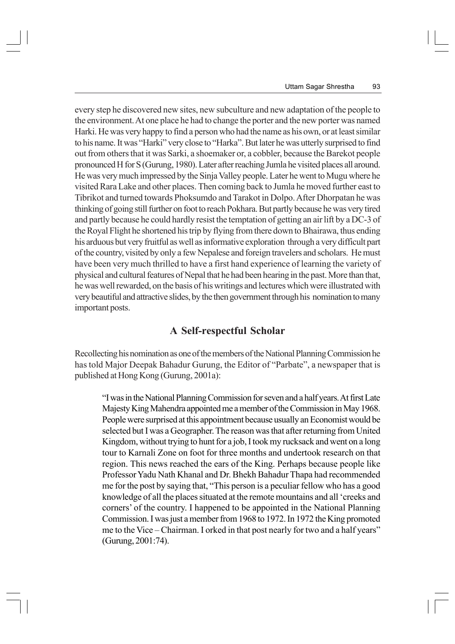every step he discovered new sites, new subculture and new adaptation of the people to the environment. At one place he had to change the porter and the new porter was named Harki. He was very happy to find a person who had the name as his own, or at least similar to his name. It was "Harki" very close to "Harka". But later he was utterly surprised to find out from others that it was Sarki, a shoemaker or, a cobbler, because the Barekot people pronounced H for S (Gurung, 1980). Later after reaching Jumla he visited places all around. He was very much impressed by the Sinja Valley people. Later he went to Mugu where he visited Rara Lake and other places. Then coming back to Jumla he moved further east to Tibrikot and turned towards Phoksumdo and Tarakot in Dolpo. After Dhorpatan he was thinking of going still further on foot to reach Pokhara. But partly because he was very tired and partly because he could hardly resist the temptation of getting an air lift by a DC-3 of the Royal Flight he shortened his trip by flying from there down to Bhairawa, thus ending his arduous but very fruitful as well as informative exploration through a very difficult part of the country, visited by only a few Nepalese and foreign travelers and scholars. He must have been very much thrilled to have a first hand experience of learning the variety of physical and cultural features of Nepal that he had been hearing in the past. More than that, he was well rewarded, on the basis of his writings and lectures which were illustrated with very beautiful and attractive slides, by the then government through his nomination to many important posts.

### **A Self-respectful Scholar**

Recollecting his nomination as one of the members of the National Planning Commission he has told Major Deepak Bahadur Gurung, the Editor of "Parbate", a newspaper that is published at Hong Kong (Gurung, 2001a):

"I was in the National Planning Commission for seven and a half years. At first Late Majesty King Mahendra appointed me a member of the Commission in May 1968. People were surprised at this appointment because usually an Economist would be selected but I was a Geographer. The reason was that after returning from United Kingdom, without trying to hunt for a job, I took my rucksack and went on a long tour to Karnali Zone on foot for three months and undertook research on that region. This news reached the ears of the King. Perhaps because people like Professor Yadu Nath Khanal and Dr. Bhekh Bahadur Thapa had recommended me for the post by saying that, "This person is a peculiar fellow who has a good knowledge of all the places situated at the remote mountains and all 'creeks and corners' of the country. I happened to be appointed in the National Planning Commission. I was just a member from 1968 to 1972. In 1972 the King promoted me to the Vice – Chairman. I orked in that post nearly for two and a half years" (Gurung, 2001:74).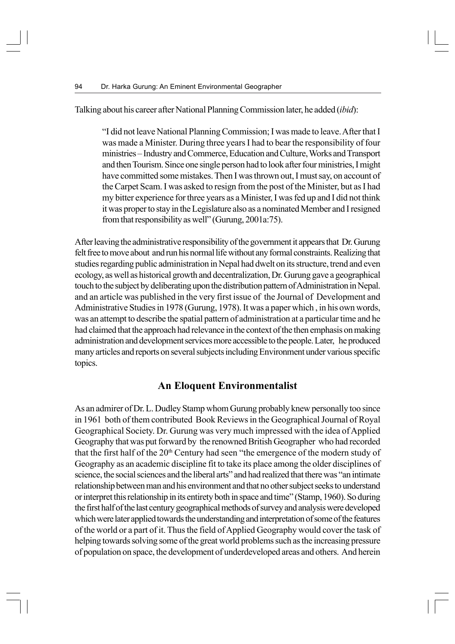Talking about his career after National Planning Commission later, he added (*ibid*):

"I did not leave National Planning Commission; I was made to leave. After that I was made a Minister. During three years I had to bear the responsibility of four ministries – Industry and Commerce, Education and Culture, Works and Transport and then Tourism. Since one single person had to look after four ministries, I might have committed some mistakes. Then I was thrown out, I must say, on account of the Carpet Scam. I was asked to resign from the post of the Minister, but as I had my bitter experience for three years as a Minister, I was fed up and I did not think it was proper to stay in the Legislature also as a nominated Member and I resigned from that responsibility as well" (Gurung, 2001a:75).

After leaving the administrative responsibility of the government it appears that Dr. Gurung felt free to move about and run his normal life without any formal constraints. Realizing that studies regarding public administration in Nepal had dwelt on its structure, trend and even ecology, as well as historical growth and decentralization, Dr. Gurung gave a geographical touch to the subject by deliberating upon the distribution pattern of Administration in Nepal. and an article was published in the very first issue of the Journal of Development and Administrative Studies in 1978 (Gurung, 1978). It was a paper which , in his own words, was an attempt to describe the spatial pattern of administration at a particular time and he had claimed that the approach had relevance in the context of the then emphasis on making administration and development services more accessible to the people. Later, he produced many articles and reports on several subjects including Environment under various specific topics.

### **An Eloquent Environmentalist**

As an admirer of Dr. L. Dudley Stamp whom Gurung probably knew personally too since in 1961 both of them contributed Book Reviews in the Geographical Journal of Royal Geographical Society. Dr. Gurung was very much impressed with the idea of Applied Geography that was put forward by the renowned British Geographer who had recorded that the first half of the 20<sup>th</sup> Century had seen "the emergence of the modern study of Geography as an academic discipline fit to take its place among the older disciplines of science, the social sciences and the liberal arts" and had realized that there was "an intimate relationship between man and his environment and that no other subject seeks to understand or interpret this relationship in its entirety both in space and time" (Stamp, 1960). So during the first half of the last century geographical methods of survey and analysis were developed which were later applied towards the understanding and interpretation of some of the features of the world or a part of it. Thus the field of Applied Geography would cover the task of helping towards solving some of the great world problems such as the increasing pressure of population on space, the development of underdeveloped areas and others. And herein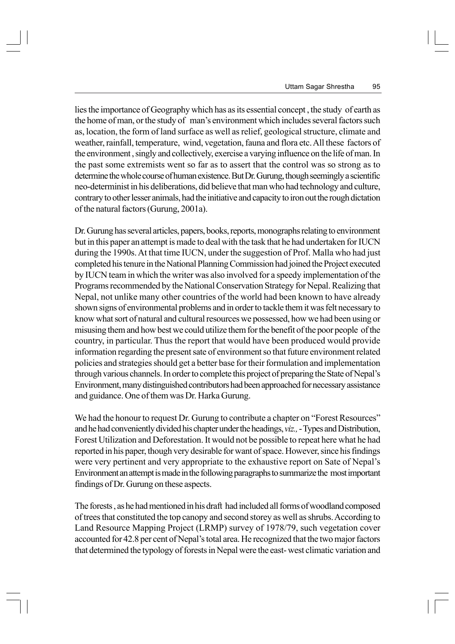lies the importance of Geography which has as its essential concept , the study of earth as the home of man, or the study of man's environment which includes several factors such as, location, the form of land surface as well as relief, geological structure, climate and weather, rainfall, temperature, wind, vegetation, fauna and flora etc. All these factors of the environment , singly and collectively, exercise a varying influence on the life of man. In the past some extremists went so far as to assert that the control was so strong as to determine the whole course of human existence. But Dr. Gurung, though seemingly a scientific neo-determinist in his deliberations, did believe that man who had technology and culture, contrary to other lesser animals, had the initiative and capacity to iron out the rough dictation of the natural factors (Gurung, 2001a).

Dr. Gurung has several articles, papers, books, reports, monographs relating to environment but in this paper an attempt is made to deal with the task that he had undertaken for IUCN during the 1990s. At that time IUCN, under the suggestion of Prof. Malla who had just completed his tenure in the National Planning Commission had joined the Project executed by IUCN team in which the writer was also involved for a speedy implementation of the Programs recommended by the National Conservation Strategy for Nepal. Realizing that Nepal, not unlike many other countries of the world had been known to have already shown signs of environmental problems and in order to tackle them it was felt necessary to know what sort of natural and cultural resources we possessed, how we had been using or misusing them and how best we could utilize them for the benefit of the poor people of the country, in particular. Thus the report that would have been produced would provide information regarding the present sate of environment so that future environment related policies and strategies should get a better base for their formulation and implementation through various channels. In order to complete this project of preparing the State of Nepal's Environment, many distinguished contributors had been approached for necessary assistance and guidance. One of them was Dr. Harka Gurung.

We had the honour to request Dr. Gurung to contribute a chapter on "Forest Resources" and he had conveniently divided his chapter under the headings, *viz.,* - Types and Distribution, Forest Utilization and Deforestation. It would not be possible to repeat here what he had reported in his paper, though very desirable for want of space. However, since his findings were very pertinent and very appropriate to the exhaustive report on Sate of Nepal's Environment an attempt is made in the following paragraphs to summarize the most important findings of Dr. Gurung on these aspects.

The forests , as he had mentioned in his draft had included all forms of woodland composed of trees that constituted the top canopy and second storey as well as shrubs. According to Land Resource Mapping Project (LRMP) survey of 1978/79, such vegetation cover accounted for 42.8 per cent of Nepal's total area. He recognized that the two major factors that determined the typology of forests in Nepal were the east- west climatic variation and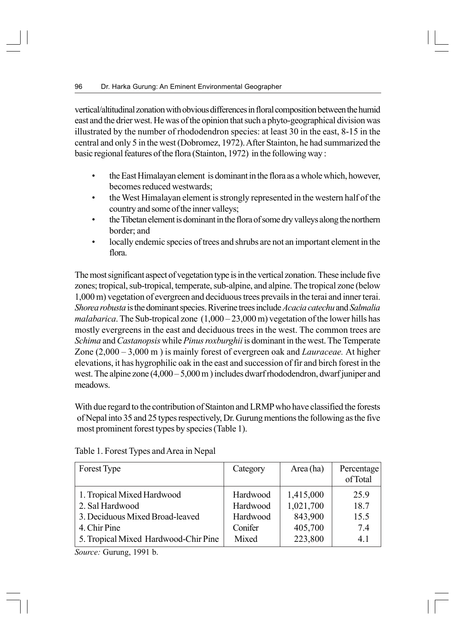vertical/altitudinal zonation with obvious differences in floral composition between the humid east and the drier west. He was of the opinion that such a phyto-geographical division was illustrated by the number of rhododendron species: at least 30 in the east, 8-15 in the central and only 5 in the west (Dobromez, 1972). After Stainton, he had summarized the basic regional features of the flora (Stainton, 1972) in the following way :

- the East Himalayan element is dominant in the flora as a whole which, however, becomes reduced westwards;
- the West Himalayan element is strongly represented in the western half of the country and some of the inner valleys;
- the Tibetan element is dominant in the flora of some dry valleys along the northern border; and
- locally endemic species of trees and shrubs are not an important element in the flora.

The most significant aspect of vegetation type is in the vertical zonation. These include five zones; tropical, sub-tropical, temperate, sub-alpine, and alpine. The tropical zone (below 1,000 m) vegetation of evergreen and deciduous trees prevails in the terai and inner terai. *Shorea robusta* is the dominant species. Riverine trees include *Acacia catechu* and *Salmalia malabarica*. The Sub-tropical zone  $(1,000 - 23,000 \text{ m})$  vegetation of the lower hills has mostly evergreens in the east and deciduous trees in the west. The common trees are *Schima* and *Castanopsis* while *Pinus roxburghii* is dominant in the west. The Temperate Zone (2,000 – 3,000 m ) is mainly forest of evergreen oak and *Lauraceae.* At higher elevations, it has hygrophilic oak in the east and succession of fir and birch forest in the west. The alpine zone  $(4.000 - 5.000 \text{ m})$  includes dwarf rhododendron, dwarf juniper and meadows.

With due regard to the contribution of Stainton and LRMP who have classified the forests of Nepal into 35 and 25 types respectively, Dr. Gurung mentions the following as the five most prominent forest types by species (Table 1).

| Forest Type                          | Category | Area (ha) | Percentage<br>of Total |
|--------------------------------------|----------|-----------|------------------------|
| 1. Tropical Mixed Hardwood           | Hardwood | 1,415,000 | 25.9                   |
| 2. Sal Hardwood                      | Hardwood | 1,021,700 | 18.7                   |
| 3. Deciduous Mixed Broad-leaved      | Hardwood | 843,900   | 15.5                   |
| 4. Chir Pine                         | Conifer  | 405,700   | 7.4                    |
| 5. Tropical Mixed Hardwood-Chir Pine | Mixed    | 223,800   | 4.1                    |

Table 1. Forest Types and Area in Nepal

*Source:* Gurung, 1991 b.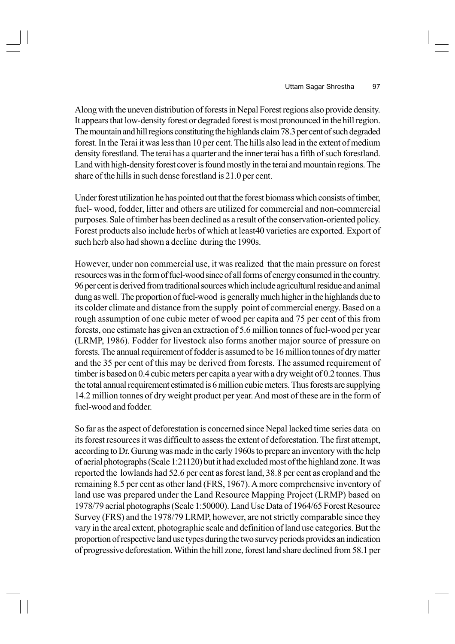Along with the uneven distribution of forests in Nepal Forest regions also provide density. It appears that low-density forest or degraded forest is most pronounced in the hill region. The mountain and hill regions constituting the highlands claim 78.3 per cent of such degraded forest. In the Terai it was less than 10 per cent. The hills also lead in the extent of medium density forestland. The terai has a quarter and the inner terai has a fifth of such forestland. Land with high-density forest cover is found mostly in the terai and mountain regions. The share of the hills in such dense forestland is 21.0 per cent.

Under forest utilization he has pointed out that the forest biomass which consists of timber, fuel- wood, fodder, litter and others are utilized for commercial and non-commercial purposes. Sale of timber has been declined as a result of the conservation-oriented policy. Forest products also include herbs of which at least40 varieties are exported. Export of such herb also had shown a decline during the 1990s.

However, under non commercial use, it was realized that the main pressure on forest resources was in the form of fuel-wood since of all forms of energy consumed in the country. 96 per cent is derived from traditional sources which include agricultural residue and animal dung as well. The proportion of fuel-wood is generally much higher in the highlands due to its colder climate and distance from the supply point of commercial energy. Based on a rough assumption of one cubic meter of wood per capita and 75 per cent of this from forests, one estimate has given an extraction of 5.6 million tonnes of fuel-wood per year (LRMP, 1986). Fodder for livestock also forms another major source of pressure on forests. The annual requirement of fodder is assumed to be 16 million tonnes of dry matter and the 35 per cent of this may be derived from forests. The assumed requirement of timber is based on 0.4 cubic meters per capita a year with a dry weight of 0.2 tonnes. Thus the total annual requirement estimated is 6 million cubic meters. Thus forests are supplying 14.2 million tonnes of dry weight product per year. And most of these are in the form of fuel-wood and fodder.

So far as the aspect of deforestation is concerned since Nepal lacked time series data on its forest resources it was difficult to assess the extent of deforestation. The first attempt, according to Dr. Gurung was made in the early 1960s to prepare an inventory with the help of aerial photographs (Scale 1:21120) but it had excluded most of the highland zone. It was reported the lowlands had 52.6 per cent as forest land, 38.8 per cent as cropland and the remaining 8.5 per cent as other land (FRS, 1967). A more comprehensive inventory of land use was prepared under the Land Resource Mapping Project (LRMP) based on 1978/79 aerial photographs (Scale 1:50000). Land Use Data of 1964/65 Forest Resource Survey (FRS) and the 1978/79 LRMP, however, are not strictly comparable since they vary in the areal extent, photographic scale and definition of land use categories. But the proportion of respective land use types during the two survey periods provides an indication of progressive deforestation. Within the hill zone, forest land share declined from 58.1 per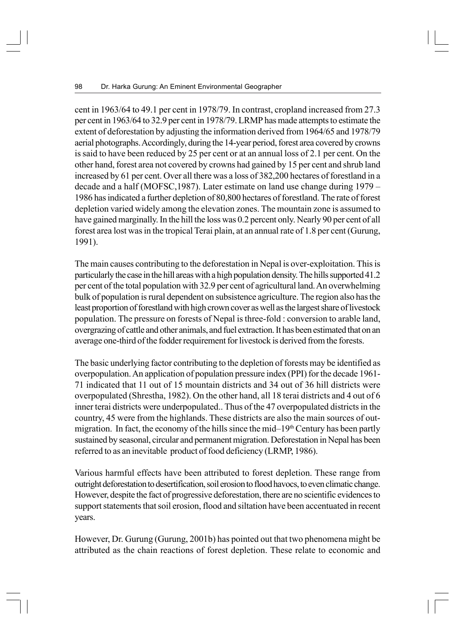cent in 1963/64 to 49.1 per cent in 1978/79. In contrast, cropland increased from 27.3 per cent in 1963/64 to 32.9 per cent in 1978/79. LRMP has made attempts to estimate the extent of deforestation by adjusting the information derived from 1964/65 and 1978/79 aerial photographs. Accordingly, during the 14-year period, forest area covered by crowns is said to have been reduced by 25 per cent or at an annual loss of 2.1 per cent. On the other hand, forest area not covered by crowns had gained by 15 per cent and shrub land increased by 61 per cent. Over all there was a loss of 382,200 hectares of forestland in a decade and a half (MOFSC,1987). Later estimate on land use change during 1979 – 1986 has indicated a further depletion of 80,800 hectares of forestland. The rate of forest depletion varied widely among the elevation zones. The mountain zone is assumed to have gained marginally. In the hill the loss was 0.2 percent only. Nearly 90 per cent of all forest area lost was in the tropical Terai plain, at an annual rate of 1.8 per cent (Gurung, 1991).

The main causes contributing to the deforestation in Nepal is over-exploitation. This is particularly the case in the hill areas with a high population density. The hills supported 41.2 per cent of the total population with 32.9 per cent of agricultural land. An overwhelming bulk of population is rural dependent on subsistence agriculture. The region also has the least proportion of forestland with high crown cover as well as the largest share of livestock population. The pressure on forests of Nepal is three-fold : conversion to arable land, overgrazing of cattle and other animals, and fuel extraction. It has been estimated that on an average one-third of the fodder requirement for livestock is derived from the forests.

The basic underlying factor contributing to the depletion of forests may be identified as overpopulation. An application of population pressure index (PPI) for the decade 1961- 71 indicated that 11 out of 15 mountain districts and 34 out of 36 hill districts were overpopulated (Shrestha, 1982). On the other hand, all 18 terai districts and 4 out of 6 inner terai districts were underpopulated.. Thus of the 47 overpopulated districts in the country, 45 were from the highlands. These districts are also the main sources of outmigration. In fact, the economy of the hills since the mid–19<sup>th</sup> Century has been partly sustained by seasonal, circular and permanent migration. Deforestation in Nepal has been referred to as an inevitable product of food deficiency (LRMP, 1986).

Various harmful effects have been attributed to forest depletion. These range from outright deforestation to desertification, soil erosion to flood havocs, to even climatic change. However, despite the fact of progressive deforestation, there are no scientific evidences to support statements that soil erosion, flood and siltation have been accentuated in recent years.

However, Dr. Gurung (Gurung, 2001b) has pointed out that two phenomena might be attributed as the chain reactions of forest depletion. These relate to economic and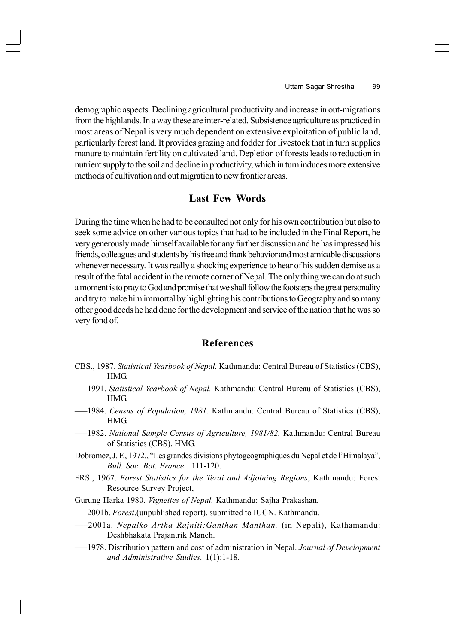demographic aspects. Declining agricultural productivity and increase in out-migrations from the highlands. In a way these are inter-related. Subsistence agriculture as practiced in most areas of Nepal is very much dependent on extensive exploitation of public land, particularly forest land. It provides grazing and fodder for livestock that in turn supplies manure to maintain fertility on cultivated land. Depletion of forests leads to reduction in nutrient supply to the soil and decline in productivity, which in turn induces more extensive methods of cultivation and out migration to new frontier areas.

#### **Last Few Words**

During the time when he had to be consulted not only for his own contribution but also to seek some advice on other various topics that had to be included in the Final Report, he very generously made himself available for any further discussion and he has impressed his friends, colleagues and students by his free and frank behavior and most amicable discussions whenever necessary. It was really a shocking experience to hear of his sudden demise as a result of the fatal accident in the remote corner of Nepal. The only thing we can do at such a moment is to pray to God and promise that we shall follow the footsteps the great personality and try to make him immortal by highlighting his contributions to Geography and so many other good deeds he had done for the development and service of the nation that he was so very fond of.

#### **References**

- CBS., 1987. *Statistical Yearbook of Nepal.* Kathmandu: Central Bureau of Statistics (CBS), HMG.
- —–1991. *Statistical Yearbook of Nepal.* Kathmandu: Central Bureau of Statistics (CBS), HMG.
- —–1984. *Census of Population, 1981.* Kathmandu: Central Bureau of Statistics (CBS), HMG.
- —–1982. *National Sample Census of Agriculture, 1981/82.* Kathmandu: Central Bureau of Statistics (CBS), HMG.
- Dobromez, J. F., 1972., "Les grandes divisions phytogeographiques du Nepal et de l'Himalaya", *Bull. Soc. Bot. France* : 111-120.
- FRS., 1967. *Forest Statistics for the Terai and Adjoining Regions*, Kathmandu: Forest Resource Survey Project,
- Gurung Harka 1980. *Vignettes of Nepal.* Kathmandu: Sajha Prakashan,
- —–2001b. *Forest*.(unpublished report), submitted to IUCN. Kathmandu.
- —–2001a. *Nepalko Artha Rajniti:Ganthan Manthan.* (in Nepali), Kathamandu: Deshbhakata Prajantrik Manch.
- —–1978. Distribution pattern and cost of administration in Nepal. *Journal of Development and Administrative Studies.* 1(1):1-18.